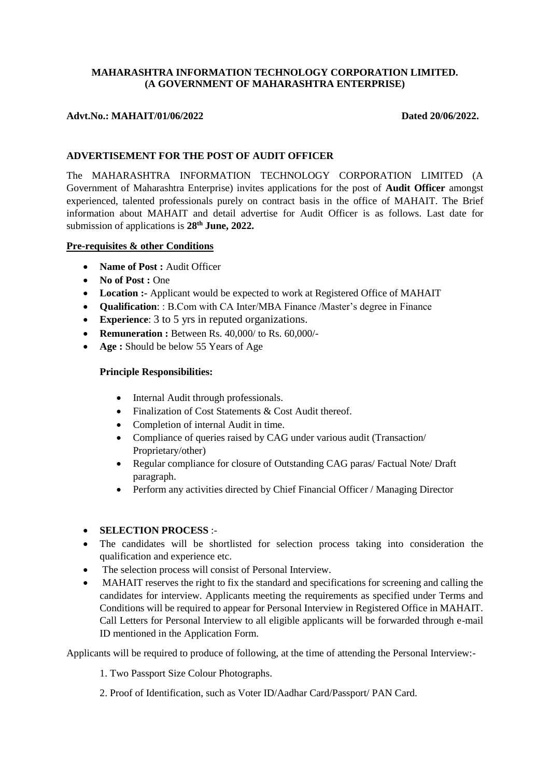# **MAHARASHTRA INFORMATION TECHNOLOGY CORPORATION LIMITED. (A GOVERNMENT OF MAHARASHTRA ENTERPRISE)**

# Advt.No.: MAHAIT/01/06/2022 Dated 20/06/2022.

# **ADVERTISEMENT FOR THE POST OF AUDIT OFFICER**

The MAHARASHTRA INFORMATION TECHNOLOGY CORPORATION LIMITED (A Government of Maharashtra Enterprise) invites applications for the post of **Audit Officer** amongst experienced, talented professionals purely on contract basis in the office of MAHAIT. The Brief information about MAHAIT and detail advertise for Audit Officer is as follows. Last date for submission of applications is **28th June, 2022.**

## **Pre-requisites & other Conditions**

- Name of Post : Audit Officer
- No of Post : One
- **Location :-** Applicant would be expected to work at Registered Office of MAHAIT
- **Qualification**: : B.Com with CA Inter/MBA Finance /Master's degree in Finance
- **Experience:** 3 to 5 yrs in reputed organizations.
- **Remuneration :** Between Rs. 40,000/ to Rs. 60,000/-
- **Age :** Should be below 55 Years of Age

## **Principle Responsibilities:**

- Internal Audit through professionals.
- Finalization of Cost Statements & Cost Audit thereof.
- Completion of internal Audit in time.
- Compliance of queries raised by CAG under various audit (Transaction/ Proprietary/other)
- Regular compliance for closure of Outstanding CAG paras/ Factual Note/ Draft paragraph.
- Perform any activities directed by Chief Financial Officer / Managing Director

## **SELECTION PROCESS** :-

- The candidates will be shortlisted for selection process taking into consideration the qualification and experience etc.
- The selection process will consist of Personal Interview.
- MAHAIT reserves the right to fix the standard and specifications for screening and calling the candidates for interview. Applicants meeting the requirements as specified under Terms and Conditions will be required to appear for Personal Interview in Registered Office in MAHAIT. Call Letters for Personal Interview to all eligible applicants will be forwarded through e-mail ID mentioned in the Application Form.

Applicants will be required to produce of following, at the time of attending the Personal Interview:-

1. Two Passport Size Colour Photographs.

2. Proof of Identification, such as Voter ID/Aadhar Card/Passport/ PAN Card.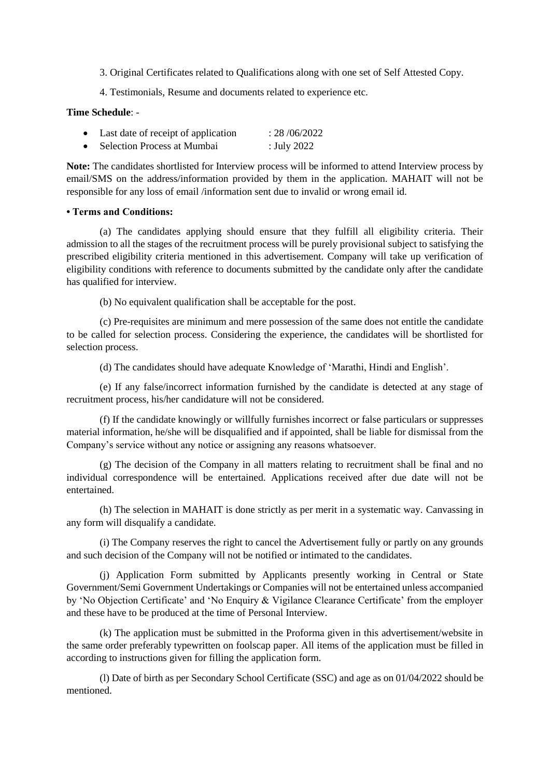- 3. Original Certificates related to Qualifications along with one set of Self Attested Copy.
- 4. Testimonials, Resume and documents related to experience etc.

#### **Time Schedule**: -

| Last date of receipt of application | : 28/06/2022 |
|-------------------------------------|--------------|
| Selection Process at Mumbai         | : July 2022  |

**Note:** The candidates shortlisted for Interview process will be informed to attend Interview process by email/SMS on the address/information provided by them in the application. MAHAIT will not be responsible for any loss of email /information sent due to invalid or wrong email id.

#### **• Terms and Conditions:**

(a) The candidates applying should ensure that they fulfill all eligibility criteria. Their admission to all the stages of the recruitment process will be purely provisional subject to satisfying the prescribed eligibility criteria mentioned in this advertisement. Company will take up verification of eligibility conditions with reference to documents submitted by the candidate only after the candidate has qualified for interview.

(b) No equivalent qualification shall be acceptable for the post.

(c) Pre-requisites are minimum and mere possession of the same does not entitle the candidate to be called for selection process. Considering the experience, the candidates will be shortlisted for selection process.

(d) The candidates should have adequate Knowledge of 'Marathi, Hindi and English'.

(e) If any false/incorrect information furnished by the candidate is detected at any stage of recruitment process, his/her candidature will not be considered.

(f) If the candidate knowingly or willfully furnishes incorrect or false particulars or suppresses material information, he/she will be disqualified and if appointed, shall be liable for dismissal from the Company's service without any notice or assigning any reasons whatsoever.

(g) The decision of the Company in all matters relating to recruitment shall be final and no individual correspondence will be entertained. Applications received after due date will not be entertained.

(h) The selection in MAHAIT is done strictly as per merit in a systematic way. Canvassing in any form will disqualify a candidate.

(i) The Company reserves the right to cancel the Advertisement fully or partly on any grounds and such decision of the Company will not be notified or intimated to the candidates.

(j) Application Form submitted by Applicants presently working in Central or State Government/Semi Government Undertakings or Companies will not be entertained unless accompanied by 'No Objection Certificate' and 'No Enquiry & Vigilance Clearance Certificate' from the employer and these have to be produced at the time of Personal Interview.

(k) The application must be submitted in the Proforma given in this advertisement/website in the same order preferably typewritten on foolscap paper. All items of the application must be filled in according to instructions given for filling the application form.

(l) Date of birth as per Secondary School Certificate (SSC) and age as on 01/04/2022 should be mentioned.